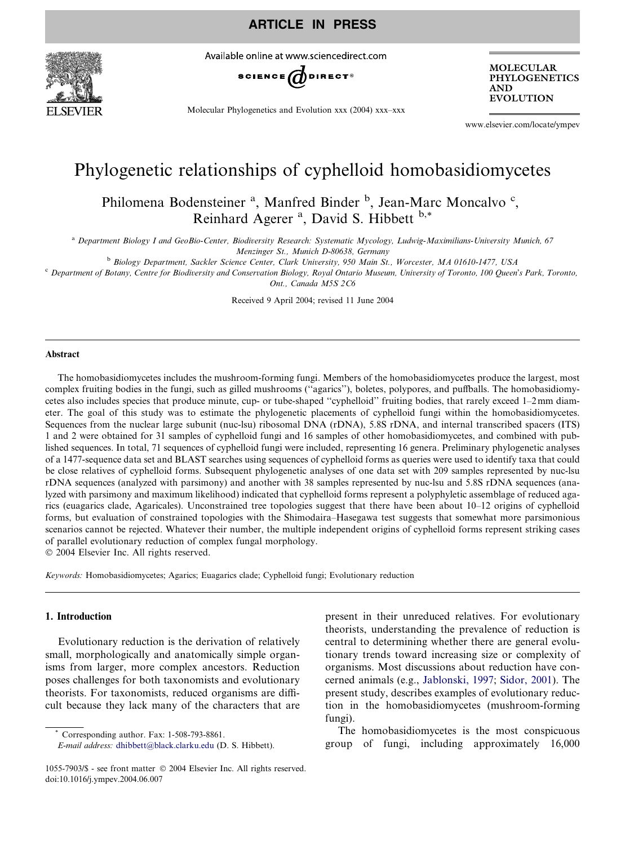

Available online at www.sciencedirect.com



Molecular Phylogenetics and Evolution xxx (2004) xxx–xxx

MOLECULAR PHYLOGENETICS AND **EVOLUTION** 

www.elsevier.com/locate/ympev

# Phylogenetic relationships of cyphelloid homobasidiomycetes

Philomena Bodensteiner<sup>a</sup>, Manfred Binder<sup>b</sup>, Jean-Marc Moncalvo<sup>c</sup>, Reinhard Agerer<sup>a</sup>, David S. Hibbett b,\*

<sup>a</sup> Department Biology I and GeoBio-Center, Biodiversity Research: Systematic Mycology, Ludwig-Maximilians-University Munich, 67

Menzinger St., Munich D-80638, Germany

<sup>b</sup> Biology Department, Sackler Science Center, Clark University, 950 Main St., Worcester, MA 01610-1477, USA

 $c$  Department of Botany, Centre for Biodiversity and Conservation Biology, Royal Ontario Museum, University of Toronto, 100 Queen's Park, Toronto, Ont., Canada M5S 2C6

Received 9 April 2004; revised 11 June 2004

#### Abstract

The homobasidiomycetes includes the mushroom-forming fungi. Members of the homobasidiomycetes produce the largest, most complex fruiting bodies in the fungi, such as gilled mushrooms (''agarics''), boletes, polypores, and puffballs. The homobasidiomycetes also includes species that produce minute, cup- or tube-shaped ''cyphelloid'' fruiting bodies, that rarely exceed 1–2mm diameter. The goal of this study was to estimate the phylogenetic placements of cyphelloid fungi within the homobasidiomycetes. Sequences from the nuclear large subunit (nuc-lsu) ribosomal DNA (rDNA), 5.8S rDNA, and internal transcribed spacers (ITS) 1 and 2 were obtained for 31 samples of cyphelloid fungi and 16 samples of other homobasidiomycetes, and combined with published sequences. In total, 71 sequences of cyphelloid fungi were included, representing 16 genera. Preliminary phylogenetic analyses of a 1477-sequence data set and BLAST searches using sequences of cyphelloid forms as queries were used to identify taxa that could be close relatives of cyphelloid forms. Subsequent phylogenetic analyses of one data set with 209 samples represented by nuc-lsu rDNA sequences (analyzed with parsimony) and another with 38 samples represented by nuc-lsu and 5.8S rDNA sequences (analyzed with parsimony and maximum likelihood) indicated that cyphelloid forms represent a polyphyletic assemblage of reduced agarics (euagarics clade, Agaricales). Unconstrained tree topologies suggest that there have been about 10–12 origins of cyphelloid forms, but evaluation of constrained topologies with the Shimodaira–Hasegawa test suggests that somewhat more parsimonious scenarios cannot be rejected. Whatever their number, the multiple independent origins of cyphelloid forms represent striking cases of parallel evolutionary reduction of complex fungal morphology.

2004 Elsevier Inc. All rights reserved.

Keywords: Homobasidiomycetes; Agarics; Euagarics clade; Cyphelloid fungi; Evolutionary reduction

#### 1. Introduction

Evolutionary reduction is the derivation of relatively small, morphologically and anatomically simple organisms from larger, more complex ancestors. Reduction poses challenges for both taxonomists and evolutionary theorists. For taxonomists, reduced organisms are difficult because they lack many of the characters that are

Corresponding author. Fax: 1-508-793-8861.

present in their unreduced relatives. For evolutionary theorists, understanding the prevalence of reduction is central to determining whether there are general evolutionary trends toward increasing size or complexity of organisms. Most discussions about reduction have concerned animals (e.g., [Jablonski, 1997;](#page-13-0) [Sidor, 2001\)](#page-14-0). The present study, describes examples of evolutionary reduction in the homobasidiomycetes (mushroom-forming fungi).

The homobasidiomycetes is the most conspicuous group of fungi, including approximately 16,000

E-mail address: [dhibbett@black.clarku.edu](mailto:dhibbett@black.clarku.edu ) (D. S. Hibbett).

<sup>1055-7903/\$ -</sup> see front matter © 2004 Elsevier Inc. All rights reserved. doi:10.1016/j.ympev.2004.06.007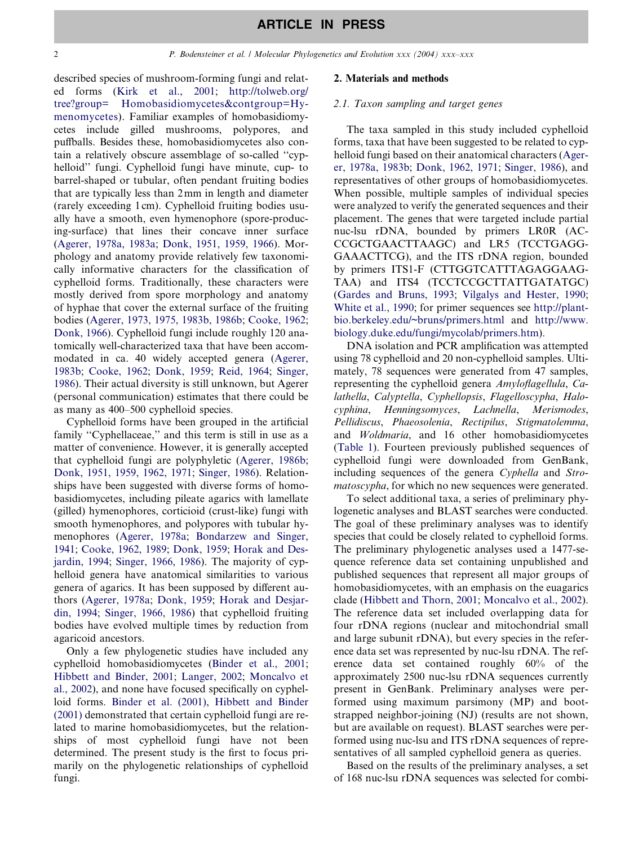described species of mushroom-forming fungi and related forms ([Kirk et al., 2001](#page-13-0); [http://tolweb.org/](http://tolweb.org/tree?group=Homobasidiomycetes&contgroup=Hymenomycetes) [tree?group= Homobasidiomycetes&contgroup=Hy](http://tolweb.org/tree?group=Homobasidiomycetes&contgroup=Hymenomycetes)[menomycetes\)](http://tolweb.org/tree?group=Homobasidiomycetes&contgroup=Hymenomycetes). Familiar examples of homobasidiomycetes include gilled mushrooms, polypores, and puffballs. Besides these, homobasidiomycetes also contain a relatively obscure assemblage of so-called ''cyphelloid'' fungi. Cyphelloid fungi have minute, cup- to barrel-shaped or tubular, often pendant fruiting bodies that are typically less than 2mm in length and diameter (rarely exceeding 1 cm). Cyphelloid fruiting bodies usually have a smooth, even hymenophore (spore-producing-surface) that lines their concave inner surface ([Agerer, 1978a, 1983a](#page-13-0); [Donk, 1951, 1959, 1966](#page-13-0)). Morphology and anatomy provide relatively few taxonomically informative characters for the classification of cyphelloid forms. Traditionally, these characters were mostly derived from spore morphology and anatomy of hyphae that cover the external surface of the fruiting bodies [\(Agerer, 1973, 1975, 1983b, 1986b;](#page-13-0) [Cooke, 1962](#page-13-0); [Donk, 1966\)](#page-13-0). Cyphelloid fungi include roughly 120 anatomically well-characterized taxa that have been accommodated in ca. 40 widely accepted genera ([Agerer,](#page-13-0) [1983b](#page-13-0); [Cooke, 1962;](#page-13-0) [Donk, 1959](#page-13-0); [Reid, 1964;](#page-14-0) [Singer,](#page-14-0) [1986\)](#page-14-0). Their actual diversity is still unknown, but Agerer (personal communication) estimates that there could be as many as 400–500 cyphelloid species.

Cyphelloid forms have been grouped in the artificial family "Cyphellaceae," and this term is still in use as a matter of convenience. However, it is generally accepted that cyphelloid fungi are polyphyletic [\(Agerer, 1986b](#page-13-0); [Donk, 1951, 1959, 1962, 1971](#page-13-0); [Singer, 1986\)](#page-14-0). Relationships have been suggested with diverse forms of homobasidiomycetes, including pileate agarics with lamellate (gilled) hymenophores, corticioid (crust-like) fungi with smooth hymenophores, and polypores with tubular hymenophores [\(Agerer, 1978a](#page-13-0); [Bondarzew and Singer,](#page-13-0) [1941;](#page-13-0) [Cooke, 1962, 1989;](#page-13-0) [Donk, 1959](#page-13-0); [Horak and Des](#page-13-0)[jardin, 1994](#page-13-0); [Singer, 1966, 1986\)](#page-14-0). The majority of cyphelloid genera have anatomical similarities to various genera of agarics. It has been supposed by different authors [\(Agerer, 1978a;](#page-13-0) [Donk, 1959](#page-13-0); [Horak and Desjar](#page-13-0)[din, 1994;](#page-13-0) [Singer, 1966, 1986\)](#page-14-0) that cyphelloid fruiting bodies have evolved multiple times by reduction from agaricoid ancestors.

Only a few phylogenetic studies have included any cyphelloid homobasidiomycetes [\(Binder et al., 2001](#page-13-0); [Hibbett and Binder, 2001](#page-13-0); [Langer, 2002;](#page-13-0) [Moncalvo et](#page-13-0) [al., 2002\)](#page-13-0), and none have focused specifically on cyphelloid forms. [Binder et al. \(2001\),](#page-13-0) [Hibbett and Binder](#page-13-0) [\(2001\)](#page-13-0) demonstrated that certain cyphelloid fungi are related to marine homobasidiomycetes, but the relationships of most cyphelloid fungi have not been determined. The present study is the first to focus primarily on the phylogenetic relationships of cyphelloid fungi.

#### 2. Materials and methods

#### 2.1. Taxon sampling and target genes

The taxa sampled in this study included cyphelloid forms, taxa that have been suggested to be related to cyphelloid fungi based on their anatomical characters ([Ager](#page-13-0)[er, 1978a, 1983b;](#page-13-0) [Donk, 1962, 1971;](#page-13-0) [Singer, 1986](#page-14-0)), and representatives of other groups of homobasidiomycetes. When possible, multiple samples of individual species were analyzed to verify the generated sequences and their placement. The genes that were targeted include partial nuc-lsu rDNA, bounded by primers LR0R (AC-CCGCTGAACTTAAGC) and LR5 (TCCTGAGG-GAAACTTCG), and the ITS rDNA region, bounded by primers ITS1-F (CTTGGTCATTTAGAGGAAG-TAA) and ITS4 (TCCTCCGCTTATTGATATGC) ([Gardes and Bruns, 1993;](#page-13-0) [Vilgalys and Hester, 1990](#page-14-0); [White et al., 1990;](#page-14-0) for primer sequences see [http://plant](http://plantbio.berkeley.edu/~bruns/primers.html)[bio.berkeley.edu/~bruns/primers.html](http://plantbio.berkeley.edu/~bruns/primers.html) and [http://www.](http://www.biology.duke.edu/fungi/mycolab/primers.htm) [biology.duke.edu/fungi/mycolab/primers.htm](http://www.biology.duke.edu/fungi/mycolab/primers.htm)).

DNA isolation and PCR amplification was attempted using 78 cyphelloid and 20 non-cyphelloid samples. Ultimately, 78 sequences were generated from 47 samples, representing the cyphelloid genera Amyloflagellula, Calathella, Calyptella, Cyphellopsis, Flagelloscypha, Halocyphina, Henningsomyces, Lachnella, Merismodes, Pellidiscus, Phaeosolenia, Rectipilus, Stigmatolemma, and Woldmaria, and 16 other homobasidiomycetes ([Table 1](#page-2-0)). Fourteen previously published sequences of cyphelloid fungi were downloaded from GenBank, including sequences of the genera Cyphella and Stromatoscypha, for which no new sequences were generated.

To select additional taxa, a series of preliminary phylogenetic analyses and BLAST searches were conducted. The goal of these preliminary analyses was to identify species that could be closely related to cyphelloid forms. The preliminary phylogenetic analyses used a 1477-sequence reference data set containing unpublished and published sequences that represent all major groups of homobasidiomycetes, with an emphasis on the euagarics clade ([Hibbett and Thorn, 2001;](#page-13-0) [Moncalvo et al., 2002\)](#page-13-0). The reference data set included overlapping data for four rDNA regions (nuclear and mitochondrial small and large subunit rDNA), but every species in the reference data set was represented by nuc-lsu rDNA. The reference data set contained roughly 60% of the approximately 2500 nuc-lsu rDNA sequences currently present in GenBank. Preliminary analyses were performed using maximum parsimony (MP) and bootstrapped neighbor-joining (NJ) (results are not shown, but are available on request). BLAST searches were performed using nuc-lsu and ITS rDNA sequences of representatives of all sampled cyphelloid genera as queries.

Based on the results of the preliminary analyses, a set of 168 nuc-lsu rDNA sequences was selected for combi-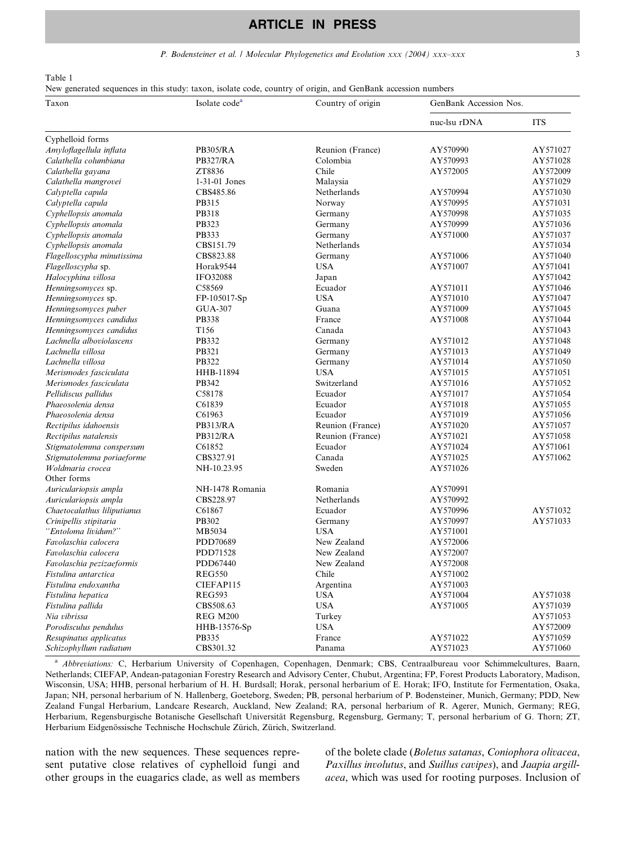#### P. Bodensteiner et al. / Molecular Phylogenetics and Evolution xxx (2004) xxx-xxx 3

<span id="page-2-0"></span>Table 1

New generated sequences in this study: taxon, isolate code, country of origin, and GenBank accession numbers

| Taxon                       | Isolate code <sup>a</sup> | Country of origin | GenBank Accession Nos. |            |  |
|-----------------------------|---------------------------|-------------------|------------------------|------------|--|
|                             |                           |                   | nuc-lsu rDNA           | <b>ITS</b> |  |
| Cyphelloid forms            |                           |                   |                        |            |  |
| Amyloflagellula inflata     | <b>PB305/RA</b>           | Reunion (France)  | AY570990               | AY571027   |  |
| Calathella columbiana       | <b>PB327/RA</b>           | Colombia          | AY570993               | AY571028   |  |
| Calathella gayana           | ZT8836                    | Chile             | AY572005               | AY572009   |  |
| Calathella mangrovei        | 1-31-01 Jones             | Malaysia          |                        | AY571029   |  |
| Calyptella capula           | CBS485.86                 | Netherlands       | AY570994               | AY571030   |  |
| Calyptella capula           | PB315                     | Norway            | AY570995               | AY571031   |  |
| Cyphellopsis anomala        | PB318                     | Germany           | AY570998               | AY571035   |  |
| Cyphellopsis anomala        | PB323                     | Germany           | AY570999               | AY571036   |  |
| Cyphellopsis anomala        | PB333                     | Germany           | AY571000               | AY571037   |  |
| Cyphellopsis anomala        | CBS151.79                 | Netherlands       |                        | AY571034   |  |
| Flagelloscypha minutissima  | CBS823.88                 | Germany           | AY571006               | AY571040   |  |
| Flagelloscypha sp.          | Horak9544                 | <b>USA</b>        | AY571007               | AY571041   |  |
| Halocyphina villosa         | <b>IFO32088</b>           | Japan             |                        | AY571042   |  |
| Henningsomyces sp.          | C58569                    | Ecuador           | AY571011               | AY571046   |  |
| Henningsomyces sp.          | FP-105017-Sp              | <b>USA</b>        | AY571010               | AY571047   |  |
| Henningsomyces puber        | <b>GUA-307</b>            | Guana             | AY571009               | AY571045   |  |
| Henningsomyces candidus     | PB338                     | France            | AY571008               | AY571044   |  |
| Henningsomyces candidus     | T156                      | Canada            |                        | AY571043   |  |
| Lachnella alboviolascens    | PB332                     | Germany           | AY571012               | AY571048   |  |
| Lachnella villosa           | <b>PB321</b>              | Germany           | AY571013               | AY571049   |  |
| Lachnella villosa           | PB322                     | Germany           | AY571014               | AY571050   |  |
| Merismodes fasciculata      | HHB-11894                 | <b>USA</b>        | AY571015               | AY571051   |  |
| Merismodes fasciculata      | PB342                     | Switzerland       | AY571016               | AY571052   |  |
| Pellidiscus pallidus        | C58178                    | Ecuador           | AY571017               | AY571054   |  |
| Phaeosolenia densa          | C61839                    | Ecuador           | AY571018               | AY571055   |  |
| Phaeosolenia densa          | C61963                    | Ecuador           | AY571019               | AY571056   |  |
| Rectipilus idahoensis       | <b>PB313/RA</b>           | Reunion (France)  | AY571020               | AY571057   |  |
| Rectipilus natalensis       | <b>PB312/RA</b>           | Reunion (France)  | AY571021               | AY571058   |  |
| Stigmatolemma conspersum    | C61852                    | Ecuador           | AY571024               | AY571061   |  |
| Stigmatolemma poriaeforme   | CBS327.91                 | Canada            | AY571025               | AY571062   |  |
| Woldmaria crocea            | NH-10.23.95               | Sweden            | AY571026               |            |  |
| Other forms                 |                           |                   |                        |            |  |
| Auriculariopsis ampla       | NH-1478 Romania           | Romania           | AY570991               |            |  |
| Auriculariopsis ampla       | CBS228.97                 | Netherlands       | AY570992               |            |  |
| Chaetocalathus liliputianus | C61867                    | Ecuador           | AY570996               | AY571032   |  |
| Crinipellis stipitaria      | PB302                     | Germany           | AY570997               | AY571033   |  |
| "Entoloma lividum?"         | MB5034                    | <b>USA</b>        | AY571001               |            |  |
| Favolaschia calocera        | PDD70689                  | New Zealand       | AY572006               |            |  |
| Favolaschia calocera        | PDD71528                  | New Zealand       | AY572007               |            |  |
| Favolaschia pezizaeformis   | PDD67440                  | New Zealand       | AY572008               |            |  |
| Fistulina antarctica        | REG550                    | Chile             | AY571002               |            |  |
| Fistulina endoxantha        | CIEFAP115                 | Argentina         | AY571003               |            |  |
| Fistulina hepatica          | <b>REG593</b>             | <b>USA</b>        | AY571004               | AY571038   |  |
| Fistulina pallida           | CBS508.63                 | <b>USA</b>        | AY571005               | AY571039   |  |
| Nia vibrissa                | <b>REG M200</b>           | Turkey            |                        | AY571053   |  |
| Porodisculus pendulus       | HHB-13576-Sp              | <b>USA</b>        |                        | AY572009   |  |
| Resupinatus applicatus      | PB335                     | France            | AY571022               | AY571059   |  |
| Schizophyllum radiatum      | CBS301.32                 | Panama            | AY571023               | AY571060   |  |

<sup>a</sup> Abbreviations: C, Herbarium University of Copenhagen, Copenhagen, Denmark; CBS, Centraalbureau voor Schimmelcultures, Baarn, Netherlands; CIEFAP, Andean-patagonian Forestry Research and Advisory Center, Chubut, Argentina; FP, Forest Products Laboratory, Madison, Wisconsin, USA; HHB, personal herbarium of H. H. Burdsall; Horak, personal herbarium of E. Horak; IFO, Institute for Fermentation, Osaka, Japan; NH, personal herbarium of N. Hallenberg, Goeteborg, Sweden; PB, personal herbarium of P. Bodensteiner, Munich, Germany; PDD, New Zealand Fungal Herbarium, Landcare Research, Auckland, New Zealand; RA, personal herbarium of R. Agerer, Munich, Germany; REG, Herbarium, Regensburgische Botanische Gesellschaft Universität Regensburg, Regensburg, Germany; T, personal herbarium of G. Thorn; ZT, Herbarium Eidgenössische Technische Hochschule Zürich, Zürich, Switzerland.

nation with the new sequences. These sequences represent putative close relatives of cyphelloid fungi and other groups in the euagarics clade, as well as members

of the bolete clade (Boletus satanas, Coniophora olivacea, Paxillus involutus, and Suillus cavipes), and Jaapia argillacea, which was used for rooting purposes. Inclusion of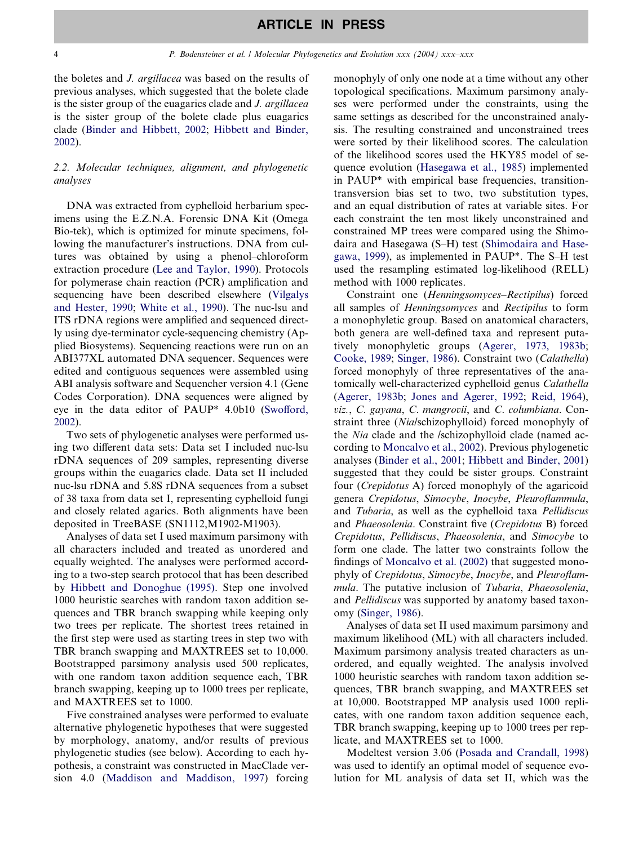the boletes and J. argillacea was based on the results of previous analyses, which suggested that the bolete clade is the sister group of the euagarics clade and J. argillacea is the sister group of the bolete clade plus euagarics clade [\(Binder and Hibbett, 2002;](#page-13-0) [Hibbett and Binder,](#page-13-0) [2002\)](#page-13-0).

#### 2.2. Molecular techniques, alignment, and phylogenetic analyses

DNA was extracted from cyphelloid herbarium specimens using the E.Z.N.A. Forensic DNA Kit (Omega Bio-tek), which is optimized for minute specimens, following the manufacturer's instructions. DNA from cultures was obtained by using a phenol–chloroform extraction procedure ([Lee and Taylor, 1990\)](#page-13-0). Protocols for polymerase chain reaction (PCR) amplification and sequencing have been described elsewhere ([Vilgalys](#page-14-0) [and Hester, 1990;](#page-14-0) [White et al., 1990](#page-14-0)). The nuc-lsu and ITS rDNA regions were amplified and sequenced directly using dye-terminator cycle-sequencing chemistry (Applied Biosystems). Sequencing reactions were run on an ABI377XL automated DNA sequencer. Sequences were edited and contiguous sequences were assembled using ABI analysis software and Sequencher version 4.1 (Gene Codes Corporation). DNA sequences were aligned by eye in the data editor of PAUP\* 4.0b10 [\(Swofford,](#page-14-0) [2002\)](#page-14-0).

Two sets of phylogenetic analyses were performed using two different data sets: Data set I included nuc-lsu rDNA sequences of 209 samples, representing diverse groups within the euagarics clade. Data set II included nuc-lsu rDNA and 5.8S rDNA sequences from a subset of 38 taxa from data set I, representing cyphelloid fungi and closely related agarics. Both alignments have been deposited in TreeBASE (SN1112,M1902-M1903).

Analyses of data set I used maximum parsimony with all characters included and treated as unordered and equally weighted. The analyses were performed according to a two-step search protocol that has been described by [Hibbett and Donoghue \(1995\).](#page-13-0) Step one involved 1000 heuristic searches with random taxon addition sequences and TBR branch swapping while keeping only two trees per replicate. The shortest trees retained in the first step were used as starting trees in step two with TBR branch swapping and MAXTREES set to 10,000. Bootstrapped parsimony analysis used 500 replicates, with one random taxon addition sequence each, TBR branch swapping, keeping up to 1000 trees per replicate, and MAXTREES set to 1000.

Five constrained analyses were performed to evaluate alternative phylogenetic hypotheses that were suggested by morphology, anatomy, and/or results of previous phylogenetic studies (see below). According to each hypothesis, a constraint was constructed in MacClade version 4.0 ([Maddison and Maddison, 1997](#page-13-0)) forcing monophyly of only one node at a time without any other topological specifications. Maximum parsimony analyses were performed under the constraints, using the same settings as described for the unconstrained analysis. The resulting constrained and unconstrained trees were sorted by their likelihood scores. The calculation of the likelihood scores used the HKY85 model of sequence evolution ([Hasegawa et al., 1985\)](#page-13-0) implemented in PAUP\* with empirical base frequencies, transitiontransversion bias set to two, two substitution types, and an equal distribution of rates at variable sites. For each constraint the ten most likely unconstrained and constrained MP trees were compared using the Shimodaira and Hasegawa (S–H) test ([Shimodaira and Hase](#page-14-0)[gawa, 1999](#page-14-0)), as implemented in PAUP\*. The S–H test used the resampling estimated log-likelihood (RELL) method with 1000 replicates.

Constraint one (Henningsomyces–Rectipilus) forced all samples of Henningsomyces and Rectipilus to form a monophyletic group. Based on anatomical characters, both genera are well-defined taxa and represent putatively monophyletic groups [\(Agerer, 1973, 1983b](#page-13-0); [Cooke, 1989](#page-13-0); [Singer, 1986](#page-14-0)). Constraint two (Calathella) forced monophyly of three representatives of the anatomically well-characterized cyphelloid genus Calathella ([Agerer, 1983b;](#page-13-0) [Jones and Agerer, 1992;](#page-13-0) [Reid, 1964\)](#page-14-0), viz., C. gayana, C. mangrovii, and C. columbiana. Constraint three (Nia/schizophylloid) forced monophyly of the Nia clade and the /schizophylloid clade (named according to [Moncalvo et al., 2002](#page-13-0)). Previous phylogenetic analyses [\(Binder et al., 2001](#page-13-0); [Hibbett and Binder, 2001](#page-13-0)) suggested that they could be sister groups. Constraint four (Crepidotus A) forced monophyly of the agaricoid genera Crepidotus, Simocybe, Inocybe, Pleuroflammula, and Tubaria, as well as the cyphelloid taxa Pellidiscus and Phaeosolenia. Constraint five (Crepidotus B) forced Crepidotus, Pellidiscus, Phaeosolenia, and Simocybe to form one clade. The latter two constraints follow the findings of [Moncalvo et al. \(2002\)](#page-13-0) that suggested monophyly of Crepidotus, Simocybe, Inocybe, and Pleuroflammula. The putative inclusion of Tubaria, Phaeosolenia, and Pellidiscus was supported by anatomy based taxonomy ([Singer, 1986\)](#page-14-0).

Analyses of data set II used maximum parsimony and maximum likelihood (ML) with all characters included. Maximum parsimony analysis treated characters as unordered, and equally weighted. The analysis involved 1000 heuristic searches with random taxon addition sequences, TBR branch swapping, and MAXTREES set at 10,000. Bootstrapped MP analysis used 1000 replicates, with one random taxon addition sequence each, TBR branch swapping, keeping up to 1000 trees per replicate, and MAXTREES set to 1000.

Modeltest version 3.06 [\(Posada and Crandall, 1998](#page-14-0)) was used to identify an optimal model of sequence evolution for ML analysis of data set II, which was the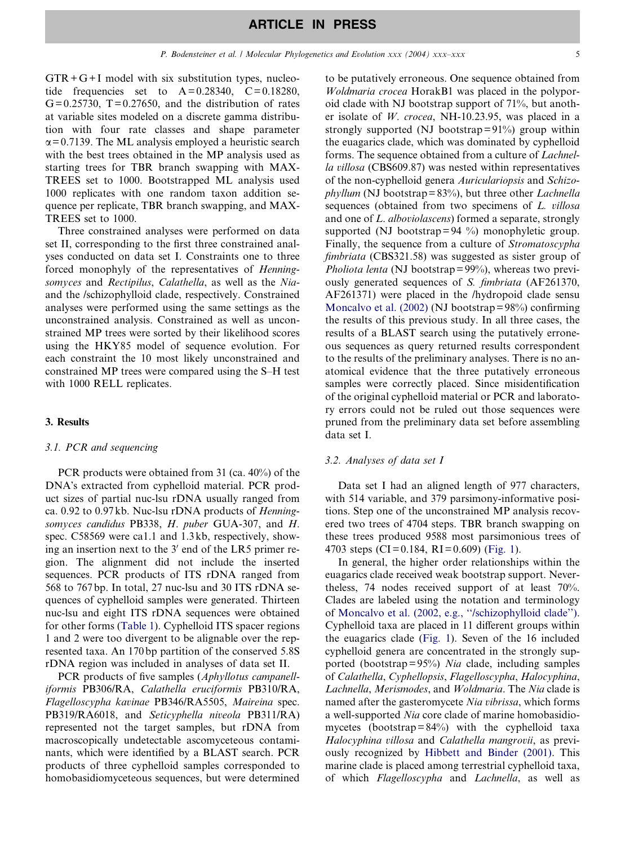$GTR + G + I$  model with six substitution types, nucleotide frequencies set to  $A=0.28340$ ,  $C=0.18280$ ,  $G= 0.25730$ ,  $T= 0.27650$ , and the distribution of rates at variable sites modeled on a discrete gamma distribution with four rate classes and shape parameter  $\alpha$ = 0.7139. The ML analysis employed a heuristic search with the best trees obtained in the MP analysis used as starting trees for TBR branch swapping with MAX-TREES set to 1000. Bootstrapped ML analysis used 1000 replicates with one random taxon addition sequence per replicate, TBR branch swapping, and MAX-TREES set to 1000.

Three constrained analyses were performed on data set II, corresponding to the first three constrained analyses conducted on data set I. Constraints one to three forced monophyly of the representatives of Henningsomyces and Rectipilus, Calathella, as well as the Niaand the /schizophylloid clade, respectively. Constrained analyses were performed using the same settings as the unconstrained analysis. Constrained as well as unconstrained MP trees were sorted by their likelihood scores using the HKY85 model of sequence evolution. For each constraint the 10 most likely unconstrained and constrained MP trees were compared using the S–H test with 1000 RELL replicates.

#### 3. Results

#### 3.1. PCR and sequencing

PCR products were obtained from 31 (ca. 40%) of the DNA's extracted from cyphelloid material. PCR product sizes of partial nuc-lsu rDNA usually ranged from ca. 0.92 to 0.97 kb. Nuc-lsu rDNA products of Henningsomyces candidus PB338, H. puber GUA-307, and H. spec. C58569 were ca1.1 and 1.3 kb, respectively, showing an insertion next to the  $3'$  end of the LR5 primer region. The alignment did not include the inserted sequences. PCR products of ITS rDNA ranged from 568 to 767 bp. In total, 27 nuc-lsu and 30 ITS rDNA sequences of cyphelloid samples were generated. Thirteen nuc-lsu and eight ITS rDNA sequences were obtained for other forms [\(Table 1](#page-2-0)). Cyphelloid ITS spacer regions 1 and 2 were too divergent to be alignable over the represented taxa. An 170 bp partition of the conserved 5.8S rDNA region was included in analyses of data set II.

PCR products of five samples (Aphyllotus campanelliformis PB306/RA, Calathella eruciformis PB310/RA, Flagelloscypha kavinae PB346/RA5505, Maireina spec. PB319/RA6018, and Seticyphella niveola PB311/RA) represented not the target samples, but rDNA from macroscopically undetectable ascomyceteous contaminants, which were identified by a BLAST search. PCR products of three cyphelloid samples corresponded to homobasidiomyceteous sequences, but were determined

to be putatively erroneous. One sequence obtained from Woldmaria crocea HorakB1 was placed in the polyporoid clade with NJ bootstrap support of 71%, but another isolate of W. crocea, NH-10.23.95, was placed in a strongly supported (NJ bootstrap= $91\%$ ) group within the euagarics clade, which was dominated by cyphelloid forms. The sequence obtained from a culture of Lachnella villosa (CBS609.87) was nested within representatives of the non-cyphelloid genera Auriculariopsis and Schizo $phyllum$  (NJ bootstrap= $83\%$ ), but three other *Lachnella* sequences (obtained from two specimens of L. villosa and one of L. alboviolascens) formed a separate, strongly supported (NJ bootstrap = 94  $\%$ ) monophyletic group. Finally, the sequence from a culture of Stromatoscypha fimbriata (CBS321.58) was suggested as sister group of *Pholiota lenta* (NJ bootstrap =  $99\%$ ), whereas two previously generated sequences of S. fimbriata (AF261370, AF261371) were placed in the /hydropoid clade sensu Moncalvo et al.  $(2002)$  (NJ bootstrap = 98%) confirming the results of this previous study. In all three cases, the results of a BLAST search using the putatively erroneous sequences as query returned results correspondent to the results of the preliminary analyses. There is no anatomical evidence that the three putatively erroneous samples were correctly placed. Since misidentification of the original cyphelloid material or PCR and laboratory errors could not be ruled out those sequences were pruned from the preliminary data set before assembling data set I.

#### 3.2. Analyses of data set I

Data set I had an aligned length of 977 characters, with 514 variable, and 379 parsimony-informative positions. Step one of the unconstrained MP analysis recovered two trees of 4704 steps. TBR branch swapping on these trees produced 9588 most parsimonious trees of 4703 steps (CI= 0.184, RI = 0.609) [\(Fig. 1\)](#page-5-0).

In general, the higher order relationships within the euagarics clade received weak bootstrap support. Nevertheless, 74 nodes received support of at least 70%. Clades are labeled using the notation and terminology of [Moncalvo et al. \(2002, e.g., ''/schizophylloid clade''\).](#page-13-0) Cyphelloid taxa are placed in 11 different groups within the euagarics clade ([Fig. 1](#page-5-0)). Seven of the 16 included cyphelloid genera are concentrated in the strongly supported (bootstrap= $95\%$ ) Nia clade, including samples of Calathella, Cyphellopsis, Flagelloscypha, Halocyphina, Lachnella, Merismodes, and Woldmaria. The Nia clade is named after the gasteromycete Nia vibrissa, which forms a well-supported Nia core clade of marine homobasidiomycetes (bootstrap= $84\%$ ) with the cyphelloid taxa Halocyphina villosa and Calathella mangrovii, as previously recognized by [Hibbett and Binder \(2001\)](#page-13-0). This marine clade is placed among terrestrial cyphelloid taxa, of which Flagelloscypha and Lachnella, as well as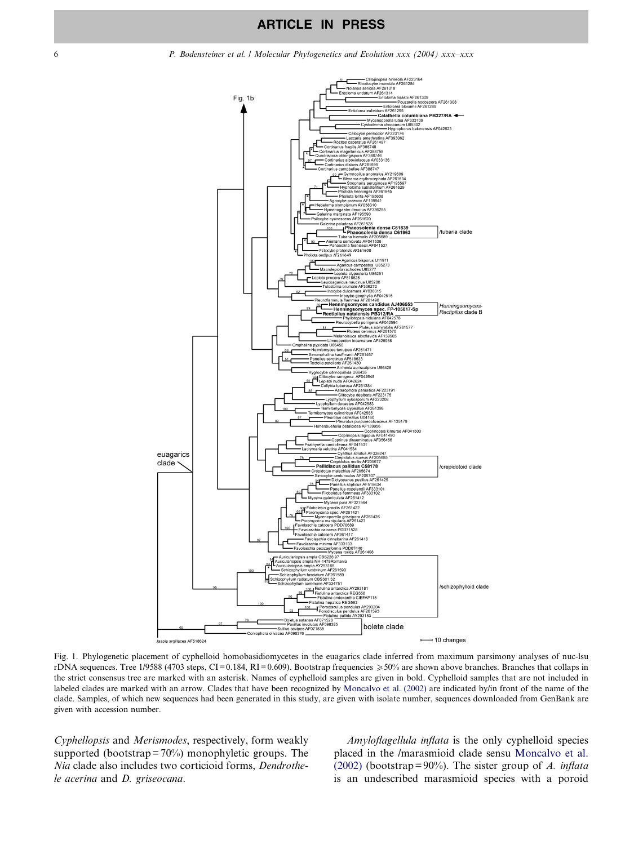<span id="page-5-0"></span>

Fig. 1. Phylogenetic placement of cyphelloid homobasidiomycetes in the euagarics clade inferred from maximum parsimony analyses of nuc-lsu rDNA sequences. Tree 1/9588 (4703 steps, CI= 0.184, RI= 0.609). Bootstrap frequencies  $\geq 50\%$  are shown above branches. Branches that collaps in the strict consensus tree are marked with an asterisk. Names of cyphelloid samples are given in bold. Cyphelloid samples that are not included in labeled clades are marked with an arrow. Clades that have been recognized by [Moncalvo et al. \(2002\)](#page-13-0) are indicated by/in front of the name of the clade. Samples, of which new sequences had been generated in this study, are given with isolate number, sequences downloaded from GenBank are given with accession number.

Cyphellopsis and Merismodes, respectively, form weakly supported (bootstrap =  $70\%$ ) monophyletic groups. The Nia clade also includes two corticioid forms, Dendrothele acerina and D. griseocana.

Amyloflagellula inflata is the only cyphelloid species placed in the /marasmioid clade sensu [Moncalvo et al.](#page-13-0) [\(2002\)](#page-13-0) (bootstrap= $90\%$ ). The sister group of A. inflata is an undescribed marasmioid species with a poroid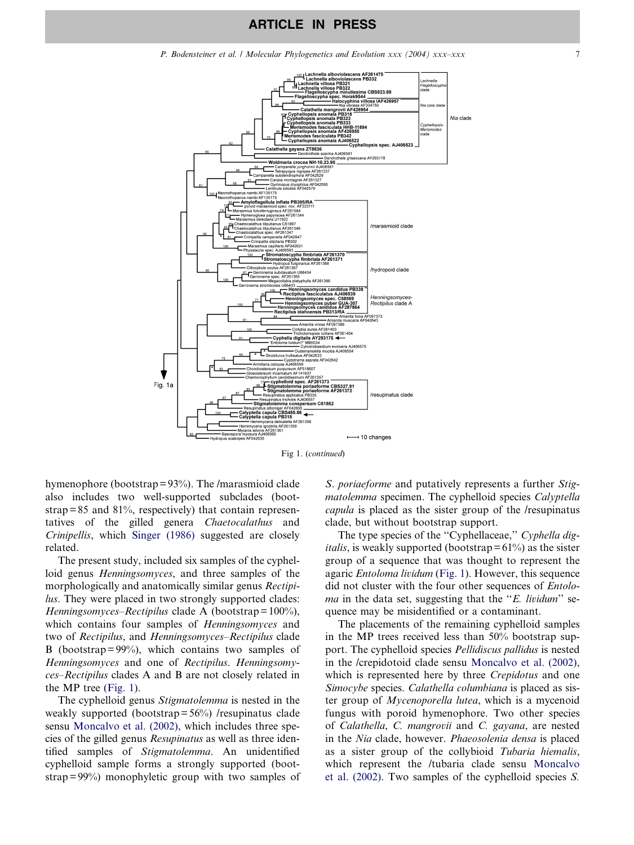P. Bodensteiner et al. / Molecular Phylogenetics and Evolution xxx (2004) xxx–xxx 7



Fig 1. (continued)

hymenophore (bootstrap= 93%). The /marasmioid clade also includes two well-supported subclades (bootstrap= $85$  and  $81\%$ , respectively) that contain representatives of the gilled genera Chaetocalathus and Crinipellis, which [Singer \(1986\)](#page-14-0) suggested are closely related.

The present study, included six samples of the cyphelloid genus Henningsomyces, and three samples of the morphologically and anatomically similar genus Rectipilus. They were placed in two strongly supported clades: Henningsomyces–Rectipilus clade A (bootstrap =  $100\%$ ), which contains four samples of *Henningsomyces* and two of Rectipilus, and Henningsomyces–Rectipilus clade B (bootstrap= $99\%$ ), which contains two samples of Henningsomyces and one of Rectipilus. Henningsomyces–Rectipilus clades A and B are not closely related in the MP tree ([Fig. 1](#page-5-0)).

The cyphelloid genus Stigmatolemma is nested in the weakly supported (bootstrap= 56%) /resupinatus clade sensu [Moncalvo et al. \(2002\)](#page-13-0), which includes three species of the gilled genus Resupinatus as well as three identified samples of Stigmatolemma. An unidentified cyphelloid sample forms a strongly supported (boot $strap = 99\%$  monophyletic group with two samples of S. *poriaeforme* and putatively represents a further Stigmatolemma specimen. The cyphelloid species Calyptella capula is placed as the sister group of the /resupinatus clade, but without bootstrap support.

The type species of the "Cyphellaceae," Cyphella dig*italis*, is weakly supported (bootstrap  $= 61\%$ ) as the sister group of a sequence that was thought to represent the agaric Entoloma lividum [\(Fig. 1\)](#page-5-0). However, this sequence did not cluster with the four other sequences of Entolo*ma* in the data set, suggesting that the " $E$ . lividum" sequence may be misidentified or a contaminant.

The placements of the remaining cyphelloid samples in the MP trees received less than 50% bootstrap support. The cyphelloid species Pellidiscus pallidus is nested in the /crepidotoid clade sensu [Moncalvo et al. \(2002\),](#page-13-0) which is represented here by three *Crepidotus* and one Simocybe species. Calathella columbiana is placed as sister group of Mycenoporella lutea, which is a mycenoid fungus with poroid hymenophore. Two other species of Calathella, C. mangrovii and C. gayana, are nested in the Nia clade, however. Phaeosolenia densa is placed as a sister group of the collybioid Tubaria hiemalis, which represent the /tubaria clade sensu [Moncalvo](#page-13-0) [et al. \(2002\)](#page-13-0). Two samples of the cyphelloid species S.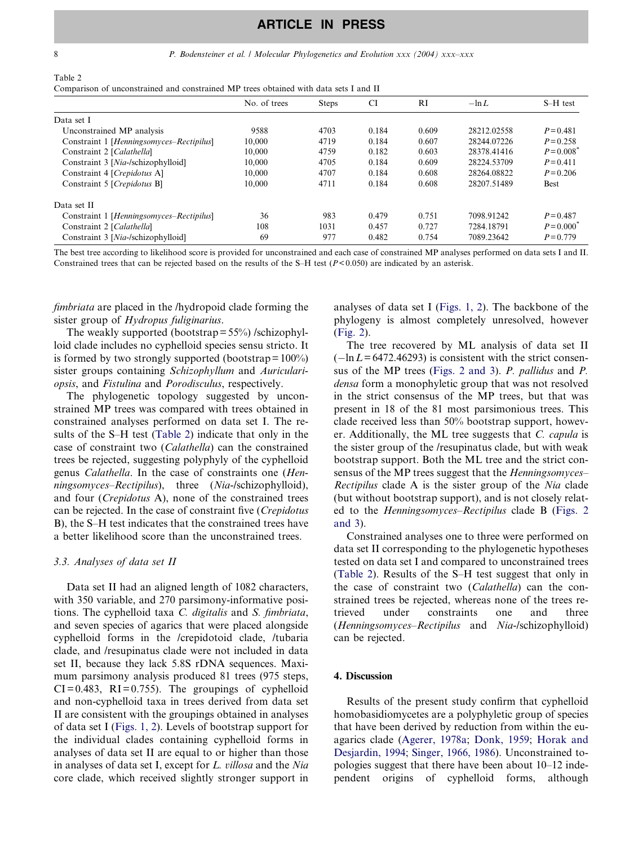<span id="page-7-0"></span>8 **P.** Bodensteiner et al. *| Molecular Phylogenetics and Evolution xxx* (2004) xxx–xxx

| Table 2                                                                               |  |  |  |  |  |
|---------------------------------------------------------------------------------------|--|--|--|--|--|
| Comparison of unconstrained and constrained MP trees obtained with data sets I and II |  |  |  |  |  |

|                                          | No. of trees | <b>Steps</b> | <b>CI</b> | <b>RI</b> | $-\ln L$    | S-H test      |
|------------------------------------------|--------------|--------------|-----------|-----------|-------------|---------------|
| Data set I                               |              |              |           |           |             |               |
| Unconstrained MP analysis                | 9588         | 4703         | 0.184     | 0.609     | 28212.02558 | $P = 0.481$   |
| Constraint 1 [Henningsomyces-Rectipilus] | 10.000       | 4719         | 0.184     | 0.607     | 28244.07226 | $P = 0.258$   |
| Constraint 2 [Calathella]                | 10,000       | 4759         | 0.182     | 0.603     | 28378.41416 | $P = 0.008^*$ |
| Constraint 3 [Nia-/schizophylloid]       | 10.000       | 4705         | 0.184     | 0.609     | 28224.53709 | $P = 0.411$   |
| Constraint 4 [Crepidotus A]              | 10,000       | 4707         | 0.184     | 0.608     | 28264.08822 | $P = 0.206$   |
| Constraint 5 [Crepidotus B]              | 10.000       | 4711         | 0.184     | 0.608     | 28207.51489 | Best          |
| Data set II                              |              |              |           |           |             |               |
| Constraint 1 [Henningsomyces-Rectipilus] | 36           | 983          | 0.479     | 0.751     | 7098.91242  | $P = 0.487$   |
| Constraint 2 [Calathella]                | 108          | 1031         | 0.457     | 0.727     | 7284.18791  | $P = 0.000^*$ |
| Constraint 3 [Nia-/schizophylloid]       | 69           | 977          | 0.482     | 0.754     | 7089.23642  | $P = 0.779$   |

The best tree according to likelihood score is provided for unconstrained and each case of constrained MP analyses performed on data sets I and II. Constrained trees that can be rejected based on the results of the S–H test (P< 0.050) are indicated by an asterisk.

fimbriata are placed in the /hydropoid clade forming the sister group of Hydropus fuliginarius.

The weakly supported (bootstrap  $= 55\%$ ) /schizophylloid clade includes no cyphelloid species sensu stricto. It is formed by two strongly supported (bootstrap =  $100\%$ ) sister groups containing Schizophyllum and Auriculariopsis, and Fistulina and Porodisculus, respectively.

The phylogenetic topology suggested by unconstrained MP trees was compared with trees obtained in constrained analyses performed on data set I. The results of the S–H test (Table 2) indicate that only in the case of constraint two (Calathella) can the constrained trees be rejected, suggesting polyphyly of the cyphelloid genus Calathella. In the case of constraints one (Henningsomyces–Rectipilus), three (Nia-/schizophylloid), and four (Crepidotus A), none of the constrained trees can be rejected. In the case of constraint five (Crepidotus B), the S–H test indicates that the constrained trees have a better likelihood score than the unconstrained trees.

#### 3.3. Analyses of data set II

Data set II had an aligned length of 1082 characters, with 350 variable, and 270 parsimony-informative positions. The cyphelloid taxa C. digitalis and S. fimbriata, and seven species of agarics that were placed alongside cyphelloid forms in the /crepidotoid clade, /tubaria clade, and /resupinatus clade were not included in data set II, because they lack 5.8S rDNA sequences. Maximum parsimony analysis produced 81 trees (975 steps,  $CI = 0.483$ ,  $RI = 0.755$ ). The groupings of cyphelloid and non-cyphelloid taxa in trees derived from data set II are consistent with the groupings obtained in analyses of data set I ([Figs. 1, 2](#page-5-0)). Levels of bootstrap support for the individual clades containing cyphelloid forms in analyses of data set II are equal to or higher than those in analyses of data set I, except for L. villosa and the Nia core clade, which received slightly stronger support in

analyses of data set I ([Figs. 1, 2](#page-5-0)). The backbone of the phylogeny is almost completely unresolved, however ([Fig. 2](#page-8-0)).

The tree recovered by ML analysis of data set II  $(-\ln L = 6472.46293)$  is consistent with the strict consensus of the MP trees ([Figs. 2 and 3\)](#page-8-0). P. pallidus and P. densa form a monophyletic group that was not resolved in the strict consensus of the MP trees, but that was present in 18 of the 81 most parsimonious trees. This clade received less than 50% bootstrap support, however. Additionally, the ML tree suggests that C. capula is the sister group of the /resupinatus clade, but with weak bootstrap support. Both the ML tree and the strict consensus of the MP trees suggest that the *Henningsomyces*-Rectipilus clade A is the sister group of the Nia clade (but without bootstrap support), and is not closely related to the Henningsomyces–Rectipilus clade B ([Figs. 2](#page-8-0) [and 3](#page-8-0)).

Constrained analyses one to three were performed on data set II corresponding to the phylogenetic hypotheses tested on data set I and compared to unconstrained trees (Table 2). Results of the S–H test suggest that only in the case of constraint two (Calathella) can the constrained trees be rejected, whereas none of the trees retrieved under constraints one and three (Henningsomyces–Rectipilus and Nia-/schizophylloid) can be rejected.

#### 4. Discussion

Results of the present study confirm that cyphelloid homobasidiomycetes are a polyphyletic group of species that have been derived by reduction from within the euagarics clade [\(Agerer, 1978a](#page-13-0); [Donk, 1959](#page-13-0); [Horak and](#page-13-0) [Desjardin, 1994](#page-13-0); [Singer, 1966, 1986](#page-14-0)). Unconstrained topologies suggest that there have been about 10–12 independent origins of cyphelloid forms, although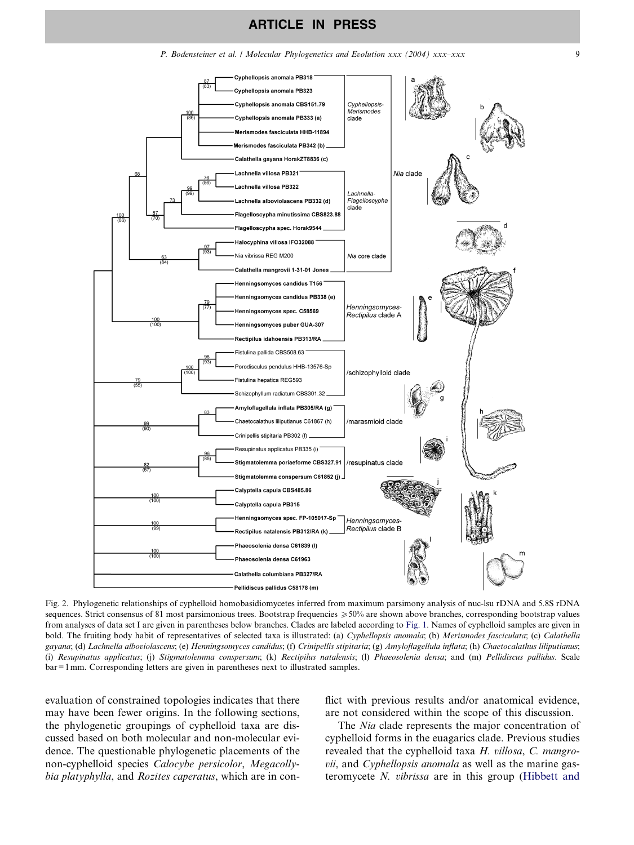<span id="page-8-0"></span>

Fig. 2. Phylogenetic relationships of cyphelloid homobasidiomycetes inferred from maximum parsimony analysis of nuc-lsu rDNA and 5.8S rDNA sequences. Strict consensus of 81 most parsimonious trees. Bootstrap frequencies  $\geq 50\%$  are shown above branches, corresponding bootstrap values from analyses of data set I are given in parentheses below branches. Clades are labeled according to [Fig. 1.](#page-5-0) Names of cyphelloid samples are given in bold. The fruiting body habit of representatives of selected taxa is illustrated: (a) Cyphellopsis anomala; (b) Merismodes fasciculata; (c) Calathella gayana; (d) Lachnella alboviolascens; (e) Henningsomyces candidus; (f) Crinipellis stipitaria; (g) Amyloflagellula inflata; (h) Chaetocalathus liliputianus; (i) Resupinatus applicatus; (j) Stigmatolemma conspersum; (k) Rectipilus natalensis; (l) Phaeosolenia densa; and (m) Pellidiscus pallidus. Scale bar= 1mm. Corresponding letters are given in parentheses next to illustrated samples.

evaluation of constrained topologies indicates that there may have been fewer origins. In the following sections, the phylogenetic groupings of cyphelloid taxa are discussed based on both molecular and non-molecular evidence. The questionable phylogenetic placements of the non-cyphelloid species Calocybe persicolor, Megacollybia platyphylla, and Rozites caperatus, which are in conflict with previous results and/or anatomical evidence, are not considered within the scope of this discussion.

The *Nia* clade represents the major concentration of cyphelloid forms in the euagarics clade. Previous studies revealed that the cyphelloid taxa H. villosa, C. mangrovii, and Cyphellopsis anomala as well as the marine gasteromycete N. vibrissa are in this group [\(Hibbett and](#page-13-0)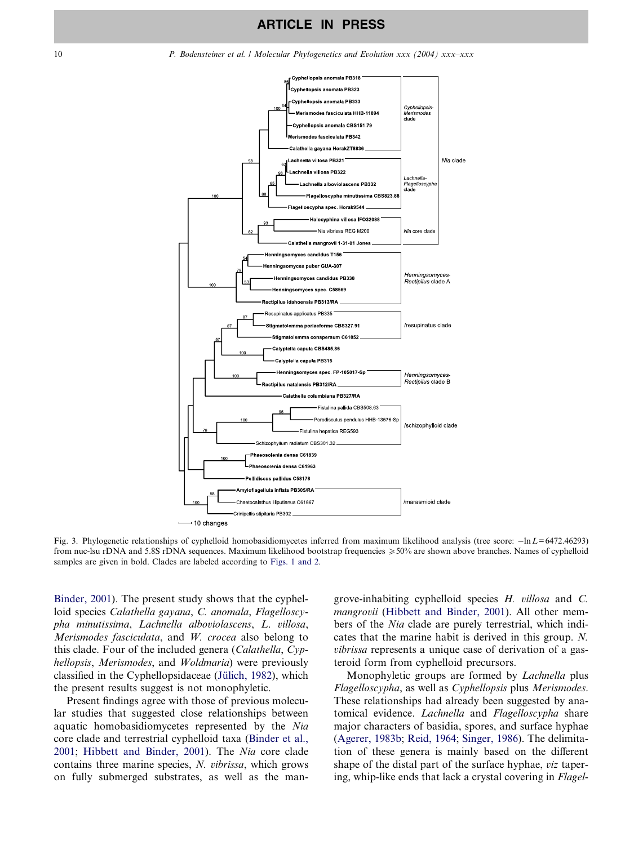<span id="page-9-0"></span>

Fig. 3. Phylogenetic relationships of cyphelloid homobasidiomycetes inferred from maximum likelihood analysis (tree score:  $-\ln L = 6472.46293$ ) from nuc-lsu rDNA and 5.8S rDNA sequences. Maximum likelihood bootstrap frequencies  $\geqslant$  50% are shown above branches. Names of cyphelloid samples are given in bold. Clades are labeled according to [Figs. 1 and 2](#page-5-0).

[Binder, 2001\)](#page-13-0). The present study shows that the cyphelloid species Calathella gayana, C. anomala, Flagelloscypha minutissima, Lachnella alboviolascens, L. villosa, Merismodes fasciculata, and W. crocea also belong to this clade. Four of the included genera (Calathella, Cyphellopsis, Merismodes, and Woldmaria) were previously classified in the Cyphellopsidaceae (Jülich, 1982), which the present results suggest is not monophyletic.

Present findings agree with those of previous molecular studies that suggested close relationships between aquatic homobasidiomycetes represented by the Nia core clade and terrestrial cyphelloid taxa ([Binder et al.,](#page-13-0) [2001;](#page-13-0) [Hibbett and Binder, 2001\)](#page-13-0). The Nia core clade contains three marine species, N. vibrissa, which grows on fully submerged substrates, as well as the mangrove-inhabiting cyphelloid species H. villosa and C. mangrovii [\(Hibbett and Binder, 2001\)](#page-13-0). All other members of the Nia clade are purely terrestrial, which indicates that the marine habit is derived in this group. N. vibrissa represents a unique case of derivation of a gasteroid form from cyphelloid precursors.

Monophyletic groups are formed by Lachnella plus Flagelloscypha, as well as Cyphellopsis plus Merismodes. These relationships had already been suggested by anatomical evidence. Lachnella and Flagelloscypha share major characters of basidia, spores, and surface hyphae ([Agerer, 1983b](#page-13-0); [Reid, 1964;](#page-14-0) [Singer, 1986\)](#page-14-0). The delimitation of these genera is mainly based on the different shape of the distal part of the surface hyphae, viz tapering, whip-like ends that lack a crystal covering in Flagel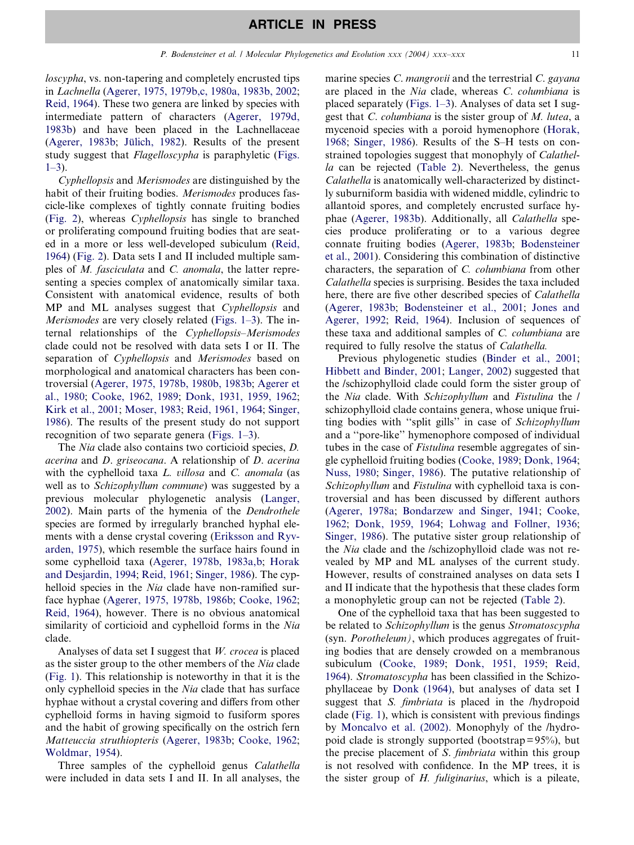loscypha, vs. non-tapering and completely encrusted tips in Lachnella [\(Agerer, 1975, 1979b,c, 1980a, 1983b, 2002;](#page-13-0) [Reid, 1964](#page-14-0)). These two genera are linked by species with intermediate pattern of characters ([Agerer, 1979d,](#page-13-0) [1983b\)](#page-13-0) and have been placed in the Lachnellaceae ([Agerer, 1983b;](#page-13-0) Jülich, 1982). Results of the present study suggest that *Flagelloscypha* is paraphyletic ([Figs.](#page-5-0)  $1-3)$ .

Cyphellopsis and Merismodes are distinguished by the habit of their fruiting bodies. Merismodes produces fascicle-like complexes of tightly connate fruiting bodies ([Fig. 2\)](#page-8-0), whereas Cyphellopsis has single to branched or proliferating compound fruiting bodies that are seated in a more or less well-developed subiculum ([Reid,](#page-14-0) [1964](#page-14-0)) ([Fig. 2\)](#page-8-0). Data sets I and II included multiple samples of M. fasciculata and C. anomala, the latter representing a species complex of anatomically similar taxa. Consistent with anatomical evidence, results of both MP and ML analyses suggest that *Cyphellopsis* and Merismodes are very closely related ([Figs. 1–3\)](#page-5-0). The internal relationships of the Cyphellopsis–Merismodes clade could not be resolved with data sets I or II. The separation of Cyphellopsis and Merismodes based on morphological and anatomical characters has been controversial ([Agerer, 1975, 1978b, 1980b, 1983b](#page-13-0); [Agerer et](#page-13-0) [al., 1980;](#page-13-0) [Cooke, 1962, 1989;](#page-13-0) [Donk, 1931, 1959, 1962;](#page-13-0) [Kirk et al., 2001;](#page-13-0) [Moser, 1983](#page-13-0); [Reid, 1961, 1964;](#page-14-0) [Singer,](#page-14-0) [1986](#page-14-0)). The results of the present study do not support recognition of two separate genera ([Figs. 1–3](#page-5-0)).

The Nia clade also contains two corticioid species, D. acerina and D. griseocana. A relationship of D. acerina with the cyphelloid taxa *L. villosa* and *C. anomala* (as well as to Schizophyllum commune) was suggested by a previous molecular phylogenetic analysis ([Langer,](#page-13-0) [2002](#page-13-0)). Main parts of the hymenia of the Dendrothele species are formed by irregularly branched hyphal elements with a dense crystal covering [\(Eriksson and Ryv](#page-13-0)[arden, 1975\)](#page-13-0), which resemble the surface hairs found in some cyphelloid taxa ([Agerer, 1978b, 1983a,b](#page-13-0); [Horak](#page-13-0) [and Desjardin, 1994;](#page-13-0) [Reid, 1961;](#page-14-0) [Singer, 1986\)](#page-14-0). The cyphelloid species in the Nia clade have non-ramified surface hyphae ([Agerer, 1975, 1978b, 1986b;](#page-13-0) [Cooke, 1962;](#page-13-0) [Reid, 1964\)](#page-14-0), however. There is no obvious anatomical similarity of corticioid and cyphelloid forms in the Nia clade.

Analyses of data set I suggest that W. crocea is placed as the sister group to the other members of the Nia clade ([Fig. 1](#page-5-0)). This relationship is noteworthy in that it is the only cyphelloid species in the Nia clade that has surface hyphae without a crystal covering and differs from other cyphelloid forms in having sigmoid to fusiform spores and the habit of growing specifically on the ostrich fern Matteuccia struthiopteris [\(Agerer, 1983b](#page-13-0); [Cooke, 1962;](#page-13-0) [Woldmar, 1954](#page-14-0)).

Three samples of the cyphelloid genus Calathella were included in data sets I and II. In all analyses, the

marine species *C. mangrovii* and the terrestrial *C. gayana* are placed in the Nia clade, whereas C. columbiana is placed separately ([Figs. 1–3](#page-5-0)). Analyses of data set I suggest that C. columbiana is the sister group of M. lutea, a mycenoid species with a poroid hymenophore ([Horak,](#page-13-0) [1968](#page-13-0); [Singer, 1986\)](#page-14-0). Results of the S–H tests on constrained topologies suggest that monophyly of Calathella can be rejected ([Table 2](#page-7-0)). Nevertheless, the genus Calathella is anatomically well-characterized by distinctly suburniform basidia with widened middle, cylindric to allantoid spores, and completely encrusted surface hyphae [\(Agerer, 1983b\)](#page-13-0). Additionally, all Calathella species produce proliferating or to a various degree connate fruiting bodies [\(Agerer, 1983b;](#page-13-0) [Bodensteiner](#page-13-0) [et al., 2001\)](#page-13-0). Considering this combination of distinctive characters, the separation of C. columbiana from other Calathella species is surprising. Besides the taxa included here, there are five other described species of Calathella ([Agerer, 1983b](#page-13-0); [Bodensteiner et al., 2001;](#page-13-0) [Jones and](#page-13-0) [Agerer, 1992;](#page-13-0) [Reid, 1964\)](#page-14-0). Inclusion of sequences of these taxa and additional samples of C. columbiana are required to fully resolve the status of Calathella.

Previous phylogenetic studies ([Binder et al., 2001;](#page-13-0) [Hibbett and Binder, 2001](#page-13-0); [Langer, 2002](#page-13-0)) suggested that the /schizophylloid clade could form the sister group of the Nia clade. With Schizophyllum and Fistulina the / schizophylloid clade contains genera, whose unique fruiting bodies with ''split gills'' in case of Schizophyllum and a ''pore-like'' hymenophore composed of individual tubes in the case of Fistulina resemble aggregates of single cyphelloid fruiting bodies ([Cooke, 1989;](#page-13-0) [Donk, 1964;](#page-13-0) [Nuss, 1980](#page-14-0); [Singer, 1986](#page-14-0)). The putative relationship of Schizophyllum and Fistulina with cyphelloid taxa is controversial and has been discussed by different authors ([Agerer, 1978a](#page-13-0); [Bondarzew and Singer, 1941](#page-13-0); [Cooke,](#page-13-0) [1962](#page-13-0); [Donk, 1959, 1964;](#page-13-0) [Lohwag and Follner, 1936;](#page-13-0) [Singer, 1986\)](#page-14-0). The putative sister group relationship of the Nia clade and the /schizophylloid clade was not revealed by MP and ML analyses of the current study. However, results of constrained analyses on data sets I and II indicate that the hypothesis that these clades form a monophyletic group can not be rejected ([Table 2](#page-7-0)).

One of the cyphelloid taxa that has been suggested to be related to *Schizophyllum* is the genus *Stromatoscypha* (syn. Porotheleum), which produces aggregates of fruiting bodies that are densely crowded on a membranous subiculum ([Cooke, 1989;](#page-13-0) [Donk, 1951, 1959;](#page-13-0) [Reid,](#page-14-0) [1964](#page-14-0)). Stromatoscypha has been classified in the Schizophyllaceae by [Donk \(1964\)](#page-13-0), but analyses of data set I suggest that *S. fimbriata* is placed in the /hydropoid clade ([Fig. 1\)](#page-5-0), which is consistent with previous findings by [Moncalvo et al. \(2002\)](#page-13-0). Monophyly of the /hydropoid clade is strongly supported (bootstrap= $95\%$ ), but the precise placement of S. fimbriata within this group is not resolved with confidence. In the MP trees, it is the sister group of  $H$ . fuliginarius, which is a pileate,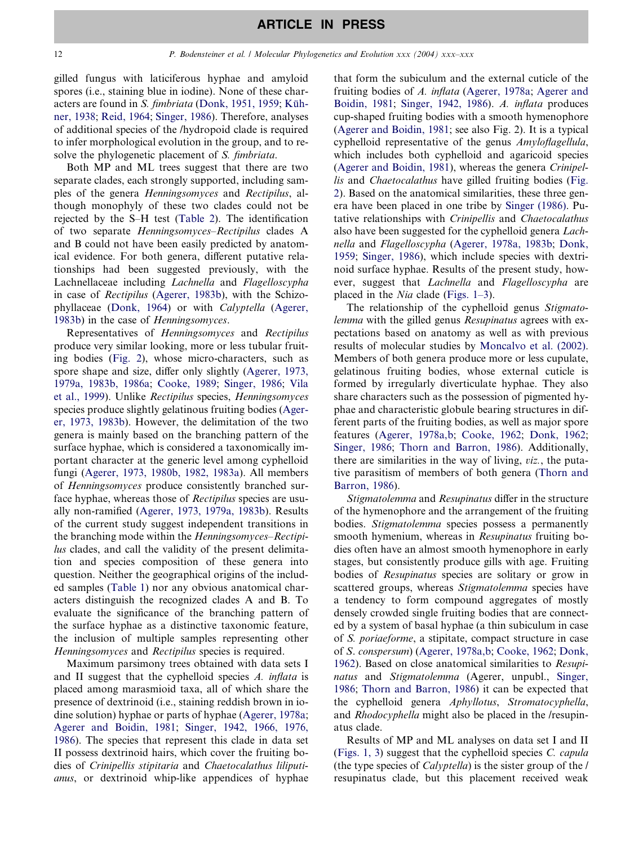gilled fungus with laticiferous hyphae and amyloid spores (i.e., staining blue in iodine). None of these characters are found in S. *fimbriata* [\(Donk, 1951, 1959](#page-13-0); Küh[ner, 1938;](#page-13-0) [Reid, 1964;](#page-14-0) [Singer, 1986\)](#page-14-0). Therefore, analyses of additional species of the /hydropoid clade is required to infer morphological evolution in the group, and to resolve the phylogenetic placement of S. fimbriata.

Both MP and ML trees suggest that there are two separate clades, each strongly supported, including samples of the genera Henningsomyces and Rectipilus, although monophyly of these two clades could not be rejected by the S–H test ([Table 2\)](#page-7-0). The identification of two separate Henningsomyces–Rectipilus clades A and B could not have been easily predicted by anatomical evidence. For both genera, different putative relationships had been suggested previously, with the Lachnellaceae including Lachnella and Flagelloscypha in case of Rectipilus [\(Agerer, 1983b\)](#page-13-0), with the Schizophyllaceae [\(Donk, 1964](#page-13-0)) or with Calyptella ([Agerer,](#page-13-0) [1983b](#page-13-0)) in the case of Henningsomyces.

Representatives of Henningsomyces and Rectipilus produce very similar looking, more or less tubular fruiting bodies ([Fig. 2](#page-8-0)), whose micro-characters, such as spore shape and size, differ only slightly ([Agerer, 1973,](#page-13-0) [1979a, 1983b, 1986a;](#page-13-0) [Cooke, 1989](#page-13-0); [Singer, 1986;](#page-14-0) [Vila](#page-14-0) [et al., 1999](#page-14-0)). Unlike Rectipilus species, Henningsomyces species produce slightly gelatinous fruiting bodies [\(Ager](#page-13-0)[er, 1973, 1983b](#page-13-0)). However, the delimitation of the two genera is mainly based on the branching pattern of the surface hyphae, which is considered a taxonomically important character at the generic level among cyphelloid fungi ([Agerer, 1973, 1980b, 1982, 1983a\)](#page-13-0). All members of Henningsomyces produce consistently branched surface hyphae, whereas those of Rectipilus species are usually non-ramified [\(Agerer, 1973, 1979a, 1983b\)](#page-13-0). Results of the current study suggest independent transitions in the branching mode within the Henningsomyces–Rectipilus clades, and call the validity of the present delimitation and species composition of these genera into question. Neither the geographical origins of the included samples ([Table 1\)](#page-2-0) nor any obvious anatomical characters distinguish the recognized clades A and B. To evaluate the significance of the branching pattern of the surface hyphae as a distinctive taxonomic feature, the inclusion of multiple samples representing other Henningsomyces and Rectipilus species is required.

Maximum parsimony trees obtained with data sets I and II suggest that the cyphelloid species A. inflata is placed among marasmioid taxa, all of which share the presence of dextrinoid (i.e., staining reddish brown in iodine solution) hyphae or parts of hyphae ([Agerer, 1978a](#page-13-0); [Agerer and Boidin, 1981](#page-13-0); [Singer, 1942, 1966, 1976,](#page-14-0) [1986\)](#page-14-0). The species that represent this clade in data set II possess dextrinoid hairs, which cover the fruiting bodies of Crinipellis stipitaria and Chaetocalathus liliputianus, or dextrinoid whip-like appendices of hyphae that form the subiculum and the external cuticle of the fruiting bodies of A. inflata [\(Agerer, 1978a](#page-13-0); [Agerer and](#page-13-0) [Boidin, 1981](#page-13-0); [Singer, 1942, 1986](#page-14-0)). A. inflata produces cup-shaped fruiting bodies with a smooth hymenophore ([Agerer and Boidin, 1981](#page-13-0); see also Fig. 2). It is a typical cyphelloid representative of the genus Amyloflagellula, which includes both cyphelloid and agaricoid species ([Agerer and Boidin, 1981](#page-13-0)), whereas the genera Crinipellis and Chaetocalathus have gilled fruiting bodies ([Fig.](#page-8-0) [2\)](#page-8-0). Based on the anatomical similarities, these three genera have been placed in one tribe by [Singer \(1986\).](#page-14-0) Putative relationships with Crinipellis and Chaetocalathus also have been suggested for the cyphelloid genera Lachnella and Flagelloscypha [\(Agerer, 1978a, 1983b;](#page-13-0) [Donk,](#page-13-0) [1959;](#page-13-0) [Singer, 1986](#page-14-0)), which include species with dextrinoid surface hyphae. Results of the present study, however, suggest that Lachnella and Flagelloscypha are placed in the *Nia* clade (Figs.  $1-3$ ).

The relationship of the cyphelloid genus Stigmatolemma with the gilled genus Resupinatus agrees with expectations based on anatomy as well as with previous results of molecular studies by [Moncalvo et al. \(2002\)](#page-13-0). Members of both genera produce more or less cupulate, gelatinous fruiting bodies, whose external cuticle is formed by irregularly diverticulate hyphae. They also share characters such as the possession of pigmented hyphae and characteristic globule bearing structures in different parts of the fruiting bodies, as well as major spore features ([Agerer, 1978a,b;](#page-13-0) [Cooke, 1962;](#page-13-0) [Donk, 1962](#page-13-0); [Singer, 1986;](#page-14-0) [Thorn and Barron, 1986](#page-14-0)). Additionally, there are similarities in the way of living, viz., the putative parasitism of members of both genera [\(Thorn and](#page-14-0) [Barron, 1986\)](#page-14-0).

Stigmatolemma and Resupinatus differ in the structure of the hymenophore and the arrangement of the fruiting bodies. Stigmatolemma species possess a permanently smooth hymenium, whereas in Resupinatus fruiting bodies often have an almost smooth hymenophore in early stages, but consistently produce gills with age. Fruiting bodies of Resupinatus species are solitary or grow in scattered groups, whereas Stigmatolemma species have a tendency to form compound aggregates of mostly densely crowded single fruiting bodies that are connected by a system of basal hyphae (a thin subiculum in case of S. poriaeforme, a stipitate, compact structure in case of S. conspersum) ([Agerer, 1978a,b](#page-13-0); [Cooke, 1962;](#page-13-0) [Donk,](#page-13-0) [1962\)](#page-13-0). Based on close anatomical similarities to Resupinatus and Stigmatolemma (Agerer, unpubl., [Singer,](#page-14-0) [1986;](#page-14-0) [Thorn and Barron, 1986\)](#page-14-0) it can be expected that the cyphelloid genera Aphyllotus, Stromatocyphella, and Rhodocyphella might also be placed in the /resupinatus clade.

Results of MP and ML analyses on data set I and II ([Figs. 1, 3\)](#page-5-0) suggest that the cyphelloid species C. capula (the type species of Calyptella) is the sister group of the / resupinatus clade, but this placement received weak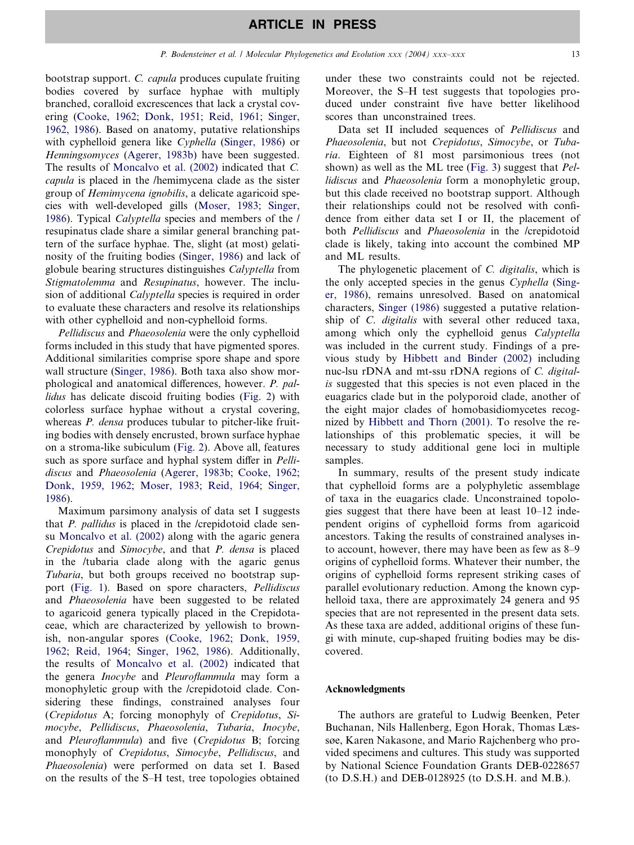bootstrap support. C. capula produces cupulate fruiting bodies covered by surface hyphae with multiply branched, coralloid excrescences that lack a crystal covering [\(Cooke, 1962](#page-13-0); [Donk, 1951](#page-13-0); [Reid, 1961](#page-14-0); [Singer,](#page-14-0) [1962, 1986](#page-14-0)). Based on anatomy, putative relationships with cyphelloid genera like Cyphella ([Singer, 1986\)](#page-14-0) or Henningsomyces ([Agerer, 1983b\)](#page-13-0) have been suggested. The results of [Moncalvo et al. \(2002\)](#page-13-0) indicated that C. capula is placed in the /hemimycena clade as the sister group of Hemimycena ignobilis, a delicate agaricoid species with well-developed gills [\(Moser, 1983;](#page-13-0) [Singer,](#page-14-0) [1986](#page-14-0)). Typical Calyptella species and members of the / resupinatus clade share a similar general branching pattern of the surface hyphae. The, slight (at most) gelatinosity of the fruiting bodies ([Singer, 1986\)](#page-14-0) and lack of globule bearing structures distinguishes Calyptella from Stigmatolemma and Resupinatus, however. The inclusion of additional Calyptella species is required in order to evaluate these characters and resolve its relationships with other cyphelloid and non-cyphelloid forms.

Pellidiscus and Phaeosolenia were the only cyphelloid forms included in this study that have pigmented spores. Additional similarities comprise spore shape and spore wall structure ([Singer, 1986](#page-14-0)). Both taxa also show morphological and anatomical differences, however. P. pallidus has delicate discoid fruiting bodies [\(Fig. 2](#page-8-0)) with colorless surface hyphae without a crystal covering, whereas *P. densa* produces tubular to pitcher-like fruiting bodies with densely encrusted, brown surface hyphae on a stroma-like subiculum [\(Fig. 2\)](#page-8-0). Above all, features such as spore surface and hyphal system differ in *Pelli*discus and Phaeosolenia ([Agerer, 1983b](#page-13-0); [Cooke, 1962;](#page-13-0) [Donk, 1959, 1962;](#page-13-0) [Moser, 1983](#page-13-0); [Reid, 1964;](#page-14-0) [Singer,](#page-14-0) [1986](#page-14-0)).

Maximum parsimony analysis of data set I suggests that P. pallidus is placed in the /crepidotoid clade sensu [Moncalvo et al. \(2002\)](#page-13-0) along with the agaric genera Crepidotus and Simocybe, and that P. densa is placed in the /tubaria clade along with the agaric genus Tubaria, but both groups received no bootstrap support ([Fig. 1\)](#page-5-0). Based on spore characters, Pellidiscus and Phaeosolenia have been suggested to be related to agaricoid genera typically placed in the Crepidotaceae, which are characterized by yellowish to brownish, non-angular spores ([Cooke, 1962](#page-13-0); [Donk, 1959,](#page-13-0) [1962](#page-13-0); [Reid, 1964](#page-14-0); [Singer, 1962, 1986](#page-14-0)). Additionally, the results of [Moncalvo et al. \(2002\)](#page-13-0) indicated that the genera Inocybe and Pleuroflammula may form a monophyletic group with the /crepidotoid clade. Considering these findings, constrained analyses four (Crepidotus A; forcing monophyly of Crepidotus, Simocybe, Pellidiscus, Phaeosolenia, Tubaria, Inocybe, and Pleuroflammula) and five (Crepidotus B; forcing monophyly of Crepidotus, Simocybe, Pellidiscus, and Phaeosolenia) were performed on data set I. Based on the results of the S–H test, tree topologies obtained

under these two constraints could not be rejected. Moreover, the S–H test suggests that topologies produced under constraint five have better likelihood scores than unconstrained trees.

Data set II included sequences of Pellidiscus and Phaeosolenia, but not Crepidotus, Simocybe, or Tubaria. Eighteen of 81 most parsimonious trees (not shown) as well as the ML tree ([Fig. 3\)](#page-9-0) suggest that Pellidiscus and Phaeosolenia form a monophyletic group, but this clade received no bootstrap support. Although their relationships could not be resolved with confidence from either data set I or II, the placement of both Pellidiscus and Phaeosolenia in the /crepidotoid clade is likely, taking into account the combined MP and ML results.

The phylogenetic placement of C. digitalis, which is the only accepted species in the genus Cyphella ([Sing](#page-14-0)[er, 1986](#page-14-0)), remains unresolved. Based on anatomical characters, [Singer \(1986\)](#page-14-0) suggested a putative relationship of C. digitalis with several other reduced taxa, among which only the cyphelloid genus Calyptella was included in the current study. Findings of a previous study by [Hibbett and Binder \(2002\)](#page-13-0) including nuc-lsu rDNA and mt-ssu rDNA regions of C. digitalis suggested that this species is not even placed in the euagarics clade but in the polyporoid clade, another of the eight major clades of homobasidiomycetes recognized by [Hibbett and Thorn \(2001\)](#page-13-0). To resolve the relationships of this problematic species, it will be necessary to study additional gene loci in multiple samples.

In summary, results of the present study indicate that cyphelloid forms are a polyphyletic assemblage of taxa in the euagarics clade. Unconstrained topologies suggest that there have been at least 10–12 independent origins of cyphelloid forms from agaricoid ancestors. Taking the results of constrained analyses into account, however, there may have been as few as 8–9 origins of cyphelloid forms. Whatever their number, the origins of cyphelloid forms represent striking cases of parallel evolutionary reduction. Among the known cyphelloid taxa, there are approximately 24 genera and 95 species that are not represented in the present data sets. As these taxa are added, additional origins of these fungi with minute, cup-shaped fruiting bodies may be discovered.

#### Acknowledgments

The authors are grateful to Ludwig Beenken, Peter Buchanan, Nils Hallenberg, Egon Horak, Thomas Læssøe, Karen Nakasone, and Mario Rajchenberg who provided specimens and cultures. This study was supported by National Science Foundation Grants DEB-0228657 (to D.S.H.) and DEB-0128925 (to D.S.H. and M.B.).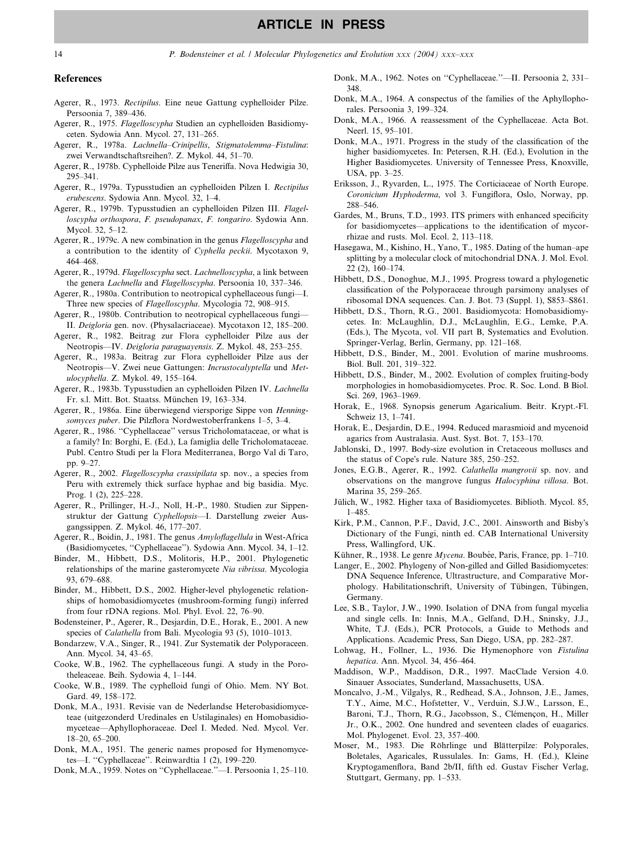#### <span id="page-13-0"></span>References

- Agerer, R., 1973. Rectipilus. Eine neue Gattung cyphelloider Pilze. Persoonia 7, 389–436.
- Agerer, R., 1975. Flagelloscypha Studien an cyphelloiden Basidiomyceten. Sydowia Ann. Mycol. 27, 131–265.
- Agerer, R., 1978a. Lachnella–Crinipellis, Stigmatolemma–Fistulina: zwei Verwandtschaftsreihen?. Z. Mykol. 44, 51–70.
- Agerer, R., 1978b. Cyphelloide Pilze aus Teneriffa. Nova Hedwigia 30, 295–341.
- Agerer, R., 1979a. Typusstudien an cyphelloiden Pilzen I. Rectipilus erubescens. Sydowia Ann. Mycol. 32, 1–4.
- Agerer, R., 1979b. Typusstudien an cyphelloiden Pilzen III. Flagelloscypha orthospora, F. pseudopanax, F. tongariro. Sydowia Ann. Mycol. 32, 5–12.
- Agerer, R., 1979c. A new combination in the genus Flagelloscypha and a contribution to the identity of Cyphella peckii. Mycotaxon 9, 464–468.
- Agerer, R., 1979d. Flagelloscypha sect. Lachnelloscypha, a link between the genera Lachnella and Flagelloscypha. Persoonia 10, 337–346.
- Agerer, R., 1980a. Contribution to neotropical cyphellaceous fungi—I. Three new species of Flagelloscypha. Mycologia 72, 908–915.
- Agerer, R., 1980b. Contribution to neotropical cyphellaceous fungi— II. Deigloria gen. nov. (Physalacriaceae). Mycotaxon 12, 185–200.
- Agerer, R., 1982. Beitrag zur Flora cyphelloider Pilze aus der Neotropis—IV. Deigloria paraguayensis. Z. Mykol. 48, 253–255.
- Agerer, R., 1983a. Beitrag zur Flora cyphelloider Pilze aus der Neotropis—V. Zwei neue Gattungen: Incrustocalyptella und Metulocyphella. Z. Mykol. 49, 155–164.
- Agerer, R., 1983b. Typusstudien an cyphelloiden Pilzen IV. Lachnella Fr. s.l. Mitt. Bot. Staatss. München 19, 163-334.
- Agerer, R., 1986a. Eine überwiegend viersporige Sippe von Henningsomyces puber. Die Pilzflora Nordwestoberfrankens 1–5, 3–4.
- Agerer, R., 1986. ''Cyphellaceae'' versus Tricholomataceae, or what is a family? In: Borghi, E. (Ed.), La famiglia delle Tricholomataceae. Publ. Centro Studi per la Flora Mediterranea, Borgo Val di Taro, pp. 9–27.
- Agerer, R., 2002. Flagelloscypha crassipilata sp. nov., a species from Peru with extremely thick surface hyphae and big basidia. Myc. Prog. 1 (2), 225–228.
- Agerer, R., Prillinger, H.-J., Noll, H.-P., 1980. Studien zur Sippenstruktur der Gattung Cyphellopsis—I. Darstellung zweier Ausgangssippen. Z. Mykol. 46, 177–207.
- Agerer, R., Boidin, J., 1981. The genus Amyloflagellula in West-Africa (Basidiomycetes, ''Cyphellaceae''). Sydowia Ann. Mycol. 34, 1–12.
- Binder, M., Hibbett, D.S., Molitoris, H.P., 2001. Phylogenetic relationships of the marine gasteromycete Nia vibrissa. Mycologia 93, 679–688.
- Binder, M., Hibbett, D.S., 2002. Higher-level phylogenetic relationships of homobasidiomycetes (mushroom-forming fungi) inferred from four rDNA regions. Mol. Phyl. Evol. 22, 76–90.
- Bodensteiner, P., Agerer, R., Desjardin, D.E., Horak, E., 2001. A new species of *Calathella* from Bali. Mycologia 93 (5), 1010–1013.
- Bondarzew, V.A., Singer, R., 1941. Zur Systematik der Polyporaceen. Ann. Mycol. 34, 43–65.
- Cooke, W.B., 1962. The cyphellaceous fungi. A study in the Porotheleaceae. Beih. Sydowia 4, 1–144.
- Cooke, W.B., 1989. The cyphelloid fungi of Ohio. Mem. NY Bot. Gard. 49, 158–172.
- Donk, M.A., 1931. Revisie van de Nederlandse Heterobasidiomyceteae (uitgezonderd Uredinales en Ustilaginales) en Homobasidiomyceteae—Aphyllophoraceae. Deel I. Meded. Ned. Mycol. Ver. 18–20, 65–200.
- Donk, M.A., 1951. The generic names proposed for Hymenomycetes—I. ''Cyphellaceae''. Reinwardtia 1 (2), 199–220.
- Donk, M.A., 1959. Notes on ''Cyphellaceae.''—I. Persoonia 1, 25–110.
- Donk, M.A., 1962. Notes on ''Cyphellaceae.''—II. Persoonia 2, 331– 348.
- Donk, M.A., 1964. A conspectus of the families of the Aphyllophorales. Persoonia 3, 199–324.
- Donk, M.A., 1966. A reassessment of the Cyphellaceae. Acta Bot. Neerl. 15, 95–101.
- Donk, M.A., 1971. Progress in the study of the classification of the higher basidiomycetes. In: Petersen, R.H. (Ed.), Evolution in the Higher Basidiomycetes. University of Tennessee Press, Knoxville, USA, pp. 3–25.
- Eriksson, J., Ryvarden, L., 1975. The Corticiaceae of North Europe. Coronicium Hyphoderma, vol 3. Fungiflora, Oslo, Norway, pp. 288–546.
- Gardes, M., Bruns, T.D., 1993. ITS primers with enhanced specificity for basidiomycetes—applications to the identification of mycorrhizae and rusts. Mol. Ecol. 2, 113–118.
- Hasegawa, M., Kishino, H., Yano, T., 1985. Dating of the human–ape splitting by a molecular clock of mitochondrial DNA. J. Mol. Evol. 22 (2), 160–174.
- Hibbett, D.S., Donoghue, M.J., 1995. Progress toward a phylogenetic classification of the Polyporaceae through parsimony analyses of ribosomal DNA sequences. Can. J. Bot. 73 (Suppl. 1), S853–S861.
- Hibbett, D.S., Thorn, R.G., 2001. Basidiomycota: Homobasidiomycetes. In: McLaughlin, D.J., McLaughlin, E.G., Lemke, P.A. (Eds.), The Mycota, vol. VII part B, Systematics and Evolution. Springer-Verlag, Berlin, Germany, pp. 121–168.
- Hibbett, D.S., Binder, M., 2001. Evolution of marine mushrooms. Biol. Bull. 201, 319–322.
- Hibbett, D.S., Binder, M., 2002. Evolution of complex fruiting-body morphologies in homobasidiomycetes. Proc. R. Soc. Lond. B Biol. Sci. 269, 1963–1969.
- Horak, E., 1968. Synopsis generum Agaricalium. Beitr. Krypt.-Fl. Schweiz 13, 1–741.
- Horak, E., Desjardin, D.E., 1994. Reduced marasmioid and mycenoid agarics from Australasia. Aust. Syst. Bot. 7, 153–170.
- Jablonski, D., 1997. Body-size evolution in Cretaceous molluscs and the status of Cope's rule. Nature 385, 250-252.
- Jones, E.G.B., Agerer, R., 1992. Calathella mangrovii sp. nov. and observations on the mangrove fungus Halocyphina villosa. Bot. Marina 35, 259–265.
- Jülich, W., 1982. Higher taxa of Basidiomycetes. Biblioth. Mycol. 85, 1–485.
- Kirk, P.M., Cannon, P.F., David, J.C., 2001. Ainsworth and Bisby's Dictionary of the Fungi, ninth ed. CAB International University Press, Wallingford, UK.
- Kühner, R., 1938. Le genre Mycena. Boubée, Paris, France, pp. 1–710.
- Langer, E., 2002. Phylogeny of Non-gilled and Gilled Basidiomycetes: DNA Sequence Inference, Ultrastructure, and Comparative Morphology. Habilitationschrift, University of Tübingen, Tübingen, Germany.
- Lee, S.B., Taylor, J.W., 1990. Isolation of DNA from fungal mycelia and single cells. In: Innis, M.A., Gelfand, D.H., Sninsky, J.J., White, T.J. (Eds.), PCR Protocols, a Guide to Methods and Applications. Academic Press, San Diego, USA, pp. 282–287.
- Lohwag, H., Follner, L., 1936. Die Hymenophore von Fistulina hepatica. Ann. Mycol. 34, 456–464.
- Maddison, W.P., Maddison, D.R., 1997. MacClade Version 4.0. Sinauer Associates, Sunderland, Massachusetts, USA.
- Moncalvo, J.-M., Vilgalys, R., Redhead, S.A., Johnson, J.E., James, T.Y., Aime, M.C., Hofstetter, V., Verduin, S.J.W., Larsson, E., Baroni, T.J., Thorn, R.G., Jacobsson, S., Clémençon, H., Miller Jr., O.K., 2002. One hundred and seventeen clades of euagarics. Mol. Phylogenet. Evol. 23, 357–400.
- Moser, M., 1983. Die Röhrlinge und Blätterpilze: Polyporales, Boletales, Agaricales, Russulales. In: Gams, H. (Ed.), Kleine Kryptogamenflora, Band 2b/II, fifth ed. Gustav Fischer Verlag, Stuttgart, Germany, pp. 1–533.